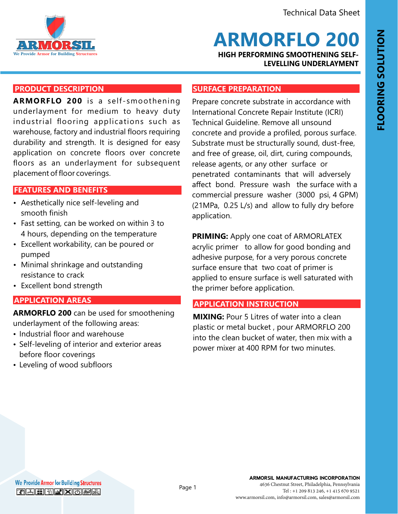

**ARMORFLO 200**

**HIGH PERFORMING SMOOTHENING SELF-LEVELLING UNDERLAYMENT**

# **PRODUCT DESCRIPTION**

**ARMORFLO 200** is a self -smoothening underlayment for medium to heavy duty industrial flooring applications such as warehouse, factory and industrial floors requiring durability and strength. It is designed for easy application on concrete floors over concrete floors as an underlayment for subsequent placement of floor coverings.

## **FEATURES AND BENEFITS FEATURES AND BENEFITS**

- Aesthetically nice self-leveling and smooth finish
- Fast setting, can be worked on within 3 to 4 hours, depending on the temperature
- Excellent workability, can be poured or pumped
- Minimal shrinkage and outstanding resistance to crack
- Excellent bond strength

# **APPLICATION AREAS**

**ARMORFLO 200** can be used for smoothening underlayment of the following areas:

- Industrial floor and warehouse
- Self-leveling of interior and exterior areas before floor coverings
- Leveling of wood subfloors

### **SURFACE PREPARATION**

Prepare concrete substrate in accordance with International Concrete Repair Institute (ICRI) Technical Guideline. Remove all unsound concrete and provide a profiled, porous surface. Substrate must be structurally sound, dust-free, and free of grease, oil, dirt, curing compounds, release agents, or any other surface or penetrated contaminants that will adversely affect bond. Pressure wash the surface with a commercial pressure washer (3000 psi, 4 GPM) (21MPa, 0.25 L/s) and allow to fully dry before application.

**PRIMING:** Apply one coat of ARMORLATEX acrylic primer to allow for good bonding and adhesive purpose, for a very porous concrete surface ensure that two coat of primer is applied to ensure surface is well saturated with the primer before application.

## **APPLICATION INSTRUCTION**

**MIXING:** Pour 5 Litres of water into a clean plastic or metal bucket , pour ARMORFLO 200 into the clean bucket of water, then mix with a power mixer at 400 RPM for two minutes.